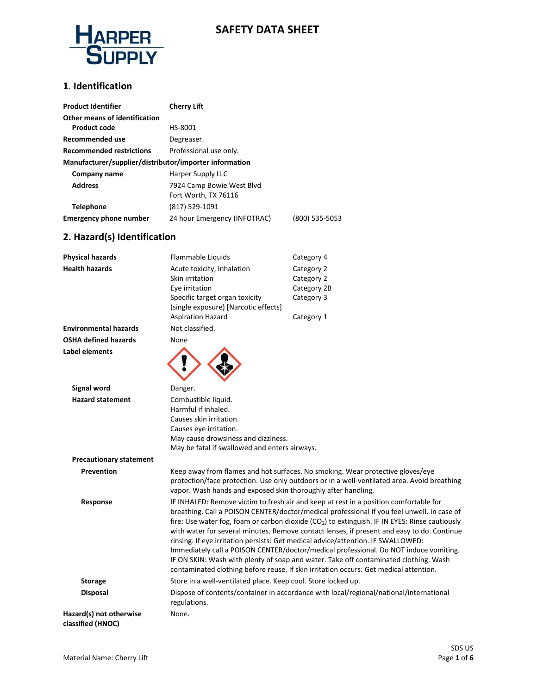

### **1**. **Identification**

| <b>Product Identifier</b>                              | <b>Cherry Lift</b>           |                |
|--------------------------------------------------------|------------------------------|----------------|
| Other means of identification                          |                              |                |
| <b>Product code</b>                                    | HS-8001                      |                |
| Recommended use                                        | Degreaser.                   |                |
| <b>Recommended restrictions</b>                        | Professional use only.       |                |
| Manufacturer/supplier/distributor/importer information |                              |                |
| Company name                                           | Harper Supply LLC            |                |
| <b>Address</b>                                         | 7924 Camp Bowie West Blvd    |                |
|                                                        | Fort Worth, TX 76116         |                |
| <b>Telephone</b>                                       | (817) 529-1091               |                |
| <b>Emergency phone number</b>                          | 24 hour Emergency (INFOTRAC) | (800) 535-5053 |

## **2. Hazard(s) Identification**

| <b>Physical hazards</b>                      | Flammable Liquids                                                                                                                                                                                                                                                                                                                                                                                                                                                                                                                                                                                                                                                                                                                                             | Category 4                                                                                                                                                                    |
|----------------------------------------------|---------------------------------------------------------------------------------------------------------------------------------------------------------------------------------------------------------------------------------------------------------------------------------------------------------------------------------------------------------------------------------------------------------------------------------------------------------------------------------------------------------------------------------------------------------------------------------------------------------------------------------------------------------------------------------------------------------------------------------------------------------------|-------------------------------------------------------------------------------------------------------------------------------------------------------------------------------|
| <b>Health hazards</b>                        | Acute toxicity, inhalation                                                                                                                                                                                                                                                                                                                                                                                                                                                                                                                                                                                                                                                                                                                                    | Category 2                                                                                                                                                                    |
|                                              | Skin irritation                                                                                                                                                                                                                                                                                                                                                                                                                                                                                                                                                                                                                                                                                                                                               | Category 2                                                                                                                                                                    |
|                                              | Eye irritation                                                                                                                                                                                                                                                                                                                                                                                                                                                                                                                                                                                                                                                                                                                                                | Category 2B                                                                                                                                                                   |
|                                              | Specific target organ toxicity                                                                                                                                                                                                                                                                                                                                                                                                                                                                                                                                                                                                                                                                                                                                | Category 3                                                                                                                                                                    |
|                                              | (single exposure) [Narcotic effects]                                                                                                                                                                                                                                                                                                                                                                                                                                                                                                                                                                                                                                                                                                                          |                                                                                                                                                                               |
|                                              | <b>Aspiration Hazard</b>                                                                                                                                                                                                                                                                                                                                                                                                                                                                                                                                                                                                                                                                                                                                      | Category 1                                                                                                                                                                    |
| <b>Environmental hazards</b>                 | Not classified.                                                                                                                                                                                                                                                                                                                                                                                                                                                                                                                                                                                                                                                                                                                                               |                                                                                                                                                                               |
| <b>OSHA defined hazards</b>                  | None                                                                                                                                                                                                                                                                                                                                                                                                                                                                                                                                                                                                                                                                                                                                                          |                                                                                                                                                                               |
| Label elements                               |                                                                                                                                                                                                                                                                                                                                                                                                                                                                                                                                                                                                                                                                                                                                                               |                                                                                                                                                                               |
| <b>Signal word</b>                           | Danger.                                                                                                                                                                                                                                                                                                                                                                                                                                                                                                                                                                                                                                                                                                                                                       |                                                                                                                                                                               |
| <b>Hazard statement</b>                      | Combustible liquid.                                                                                                                                                                                                                                                                                                                                                                                                                                                                                                                                                                                                                                                                                                                                           |                                                                                                                                                                               |
|                                              | Harmful if inhaled.                                                                                                                                                                                                                                                                                                                                                                                                                                                                                                                                                                                                                                                                                                                                           |                                                                                                                                                                               |
|                                              | Causes skin irritation.                                                                                                                                                                                                                                                                                                                                                                                                                                                                                                                                                                                                                                                                                                                                       |                                                                                                                                                                               |
|                                              | Causes eye irritation.                                                                                                                                                                                                                                                                                                                                                                                                                                                                                                                                                                                                                                                                                                                                        |                                                                                                                                                                               |
| May cause drowsiness and dizziness.          |                                                                                                                                                                                                                                                                                                                                                                                                                                                                                                                                                                                                                                                                                                                                                               |                                                                                                                                                                               |
|                                              | May be fatal if swallowed and enters airways.                                                                                                                                                                                                                                                                                                                                                                                                                                                                                                                                                                                                                                                                                                                 |                                                                                                                                                                               |
| <b>Precautionary statement</b>               |                                                                                                                                                                                                                                                                                                                                                                                                                                                                                                                                                                                                                                                                                                                                                               |                                                                                                                                                                               |
| Prevention                                   | vapor. Wash hands and exposed skin thoroughly after handling.                                                                                                                                                                                                                                                                                                                                                                                                                                                                                                                                                                                                                                                                                                 | Keep away from flames and hot surfaces. No smoking. Wear protective gloves/eye<br>protection/face protection. Use only outdoors or in a well-ventilated area. Avoid breathing |
| Response                                     | IF INHALED: Remove victim to fresh air and keep at rest in a position comfortable for<br>breathing. Call a POISON CENTER/doctor/medical professional if you feel unwell. In case of<br>fire: Use water fog, foam or carbon dioxide (CO <sub>2</sub> ) to extinguish. IF IN EYES: Rinse cautiously<br>with water for several minutes. Remove contact lenses, if present and easy to do. Continue<br>rinsing. If eye irritation persists: Get medical advice/attention. IF SWALLOWED:<br>Immediately call a POISON CENTER/doctor/medical professional. Do NOT induce vomiting.<br>IF ON SKIN: Wash with plenty of soap and water. Take off contaminated clothing. Wash<br>contaminated clothing before reuse. If skin irritation occurs: Get medical attention. |                                                                                                                                                                               |
| <b>Storage</b>                               | Store in a well-ventilated place. Keep cool. Store locked up.                                                                                                                                                                                                                                                                                                                                                                                                                                                                                                                                                                                                                                                                                                 |                                                                                                                                                                               |
| <b>Disposal</b>                              | Dispose of contents/container in accordance with local/regional/national/international<br>regulations.                                                                                                                                                                                                                                                                                                                                                                                                                                                                                                                                                                                                                                                        |                                                                                                                                                                               |
| Hazard(s) not otherwise<br>classified (HNOC) | None.                                                                                                                                                                                                                                                                                                                                                                                                                                                                                                                                                                                                                                                                                                                                                         |                                                                                                                                                                               |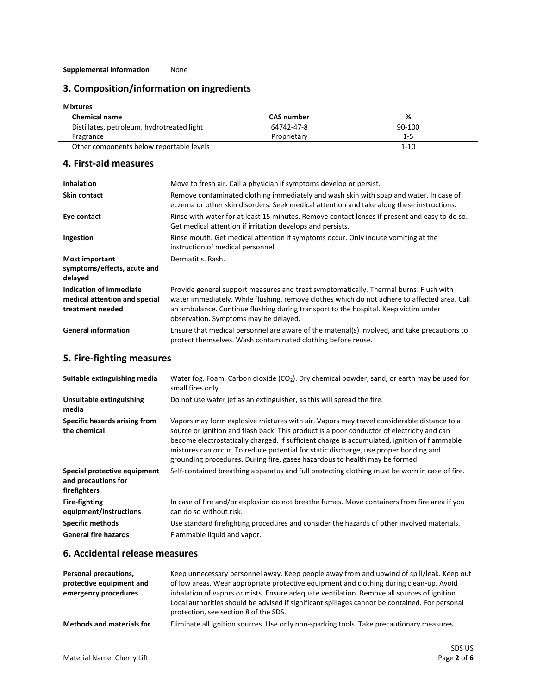#### **Supplemental information** None

# **3. Composition/information on ingredients**

| <b>Mixtures</b>                            |                   |          |  |
|--------------------------------------------|-------------------|----------|--|
| <b>Chemical name</b>                       | <b>CAS number</b> | %        |  |
| Distillates, petroleum, hydrotreated light | 64742-47-8        | 90-100   |  |
| Fragrance                                  | Proprietary       | 1-5      |  |
| Other components below reportable levels   |                   | $1 - 10$ |  |

### **4. First-aid measures**

| <b>Inhalation</b>                                                            | Move to fresh air. Call a physician if symptoms develop or persist.                                                                                                                                                                                                                                                   |
|------------------------------------------------------------------------------|-----------------------------------------------------------------------------------------------------------------------------------------------------------------------------------------------------------------------------------------------------------------------------------------------------------------------|
| <b>Skin contact</b>                                                          | Remove contaminated clothing immediately and wash skin with soap and water. In case of<br>eczema or other skin disorders: Seek medical attention and take along these instructions.                                                                                                                                   |
| Eye contact                                                                  | Rinse with water for at least 15 minutes. Remove contact lenses if present and easy to do so.<br>Get medical attention if irritation develops and persists.                                                                                                                                                           |
| Ingestion                                                                    | Rinse mouth. Get medical attention if symptoms occur. Only induce vomiting at the<br>instruction of medical personnel.                                                                                                                                                                                                |
| <b>Most important</b><br>symptoms/effects, acute and<br>delayed              | Dermatitis. Rash.                                                                                                                                                                                                                                                                                                     |
| Indication of immediate<br>medical attention and special<br>treatment needed | Provide general support measures and treat symptomatically. Thermal burns: Flush with<br>water immediately. While flushing, remove clothes which do not adhere to affected area. Call<br>an ambulance. Continue flushing during transport to the hospital. Keep victim under<br>observation. Symptoms may be delayed. |
| <b>General information</b>                                                   | Ensure that medical personnel are aware of the material(s) involved, and take precautions to<br>protect themselves. Wash contaminated clothing before reuse.                                                                                                                                                          |

# **5. Fire-fighting measures**

| Suitable extinguishing media                                        | Water fog. Foam. Carbon dioxide ( $CO2$ ). Dry chemical powder, sand, or earth may be used for<br>small fires only.                                                                                                                                                                                                                                                                                                                                            |
|---------------------------------------------------------------------|----------------------------------------------------------------------------------------------------------------------------------------------------------------------------------------------------------------------------------------------------------------------------------------------------------------------------------------------------------------------------------------------------------------------------------------------------------------|
| <b>Unsuitable extinguishing</b><br>media                            | Do not use water jet as an extinguisher, as this will spread the fire.                                                                                                                                                                                                                                                                                                                                                                                         |
| Specific hazards arising from<br>the chemical                       | Vapors may form explosive mixtures with air. Vapors may travel considerable distance to a<br>source or ignition and flash back. This product is a poor conductor of electricity and can<br>become electrostatically charged. If sufficient charge is accumulated, ignition of flammable<br>mixtures can occur. To reduce potential for static discharge, use proper bonding and<br>grounding procedures. During fire, gases hazardous to health may be formed. |
| Special protective equipment<br>and precautions for<br>firefighters | Self-contained breathing apparatus and full protecting clothing must be worn in case of fire.                                                                                                                                                                                                                                                                                                                                                                  |
| <b>Fire-fighting</b><br>equipment/instructions                      | In case of fire and/or explosion do not breathe fumes. Move containers from fire area if you<br>can do so without risk.                                                                                                                                                                                                                                                                                                                                        |
| <b>Specific methods</b>                                             | Use standard firefighting procedures and consider the hazards of other involved materials.                                                                                                                                                                                                                                                                                                                                                                     |
| <b>General fire hazards</b>                                         | Flammable liquid and vapor.                                                                                                                                                                                                                                                                                                                                                                                                                                    |

### **6. Accidental release measures**

| Personal precautions,<br>protective equipment and<br>emergency procedures | Keep unnecessary personnel away. Keep people away from and upwind of spill/leak. Keep out<br>of low areas. Wear appropriate protective equipment and clothing during clean-up. Avoid<br>inhalation of vapors or mists. Ensure adequate ventilation. Remove all sources of ignition.<br>Local authorities should be advised if significant spillages cannot be contained. For personal<br>protection, see section 8 of the SDS. |
|---------------------------------------------------------------------------|--------------------------------------------------------------------------------------------------------------------------------------------------------------------------------------------------------------------------------------------------------------------------------------------------------------------------------------------------------------------------------------------------------------------------------|
| <b>Methods and materials for</b>                                          | Eliminate all ignition sources. Use only non-sparking tools. Take precautionary measures                                                                                                                                                                                                                                                                                                                                       |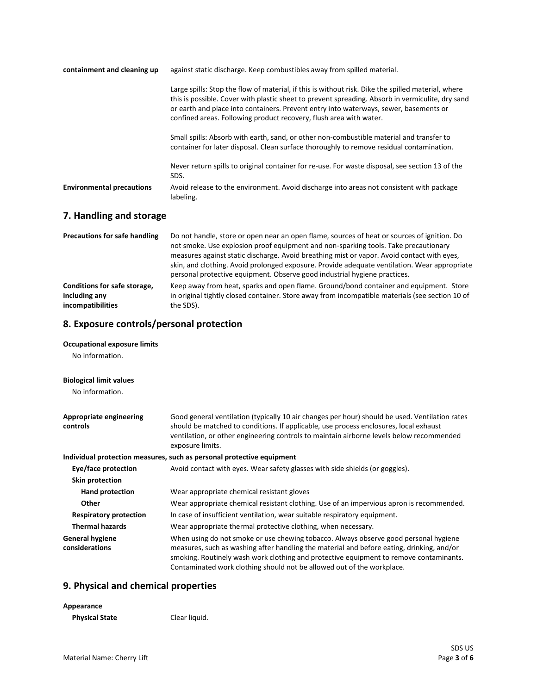| containment and cleaning up      | against static discharge. Keep combustibles away from spilled material.                                                                                                                                                                                                                                                                                               |  |
|----------------------------------|-----------------------------------------------------------------------------------------------------------------------------------------------------------------------------------------------------------------------------------------------------------------------------------------------------------------------------------------------------------------------|--|
|                                  | Large spills: Stop the flow of material, if this is without risk. Dike the spilled material, where<br>this is possible. Cover with plastic sheet to prevent spreading. Absorb in vermiculite, dry sand<br>or earth and place into containers. Prevent entry into waterways, sewer, basements or<br>confined areas. Following product recovery, flush area with water. |  |
|                                  | Small spills: Absorb with earth, sand, or other non-combustible material and transfer to<br>container for later disposal. Clean surface thoroughly to remove residual contamination.                                                                                                                                                                                  |  |
|                                  | Never return spills to original container for re-use. For waste disposal, see section 13 of the<br>SDS.                                                                                                                                                                                                                                                               |  |
| <b>Environmental precautions</b> | Avoid release to the environment. Avoid discharge into areas not consistent with package<br>labeling.                                                                                                                                                                                                                                                                 |  |

## **7. Handling and storage**

| <b>Precautions for safe handling</b> | Do not handle, store or open near an open flame, sources of heat or sources of ignition. Do<br>not smoke. Use explosion proof equipment and non-sparking tools. Take precautionary<br>measures against static discharge. Avoid breathing mist or vapor. Avoid contact with eyes,<br>skin, and clothing. Avoid prolonged exposure. Provide adequate ventilation. Wear appropriate<br>personal protective equipment. Observe good industrial hygiene practices. |
|--------------------------------------|---------------------------------------------------------------------------------------------------------------------------------------------------------------------------------------------------------------------------------------------------------------------------------------------------------------------------------------------------------------------------------------------------------------------------------------------------------------|
| Conditions for safe storage,         | Keep away from heat, sparks and open flame. Ground/bond container and equipment. Store                                                                                                                                                                                                                                                                                                                                                                        |
| including any                        | in original tightly closed container. Store away from incompatible materials (see section 10 of                                                                                                                                                                                                                                                                                                                                                               |
| incompatibilities                    | the SDS).                                                                                                                                                                                                                                                                                                                                                                                                                                                     |

### **8. Exposure controls/personal protection**

#### **Occupational exposure limits**

No information.

#### **Biological limit values**

No information.

| Appropriate engineering<br>controls      | Good general ventilation (typically 10 air changes per hour) should be used. Ventilation rates<br>should be matched to conditions. If applicable, use process enclosures, local exhaust<br>ventilation, or other engineering controls to maintain airborne levels below recommended<br>exposure limits.                                               |
|------------------------------------------|-------------------------------------------------------------------------------------------------------------------------------------------------------------------------------------------------------------------------------------------------------------------------------------------------------------------------------------------------------|
|                                          | Individual protection measures, such as personal protective equipment                                                                                                                                                                                                                                                                                 |
| Eye/face protection                      | Avoid contact with eyes. Wear safety glasses with side shields (or goggles).                                                                                                                                                                                                                                                                          |
| Skin protection                          |                                                                                                                                                                                                                                                                                                                                                       |
| Hand protection                          | Wear appropriate chemical resistant gloves                                                                                                                                                                                                                                                                                                            |
| Other                                    | Wear appropriate chemical resistant clothing. Use of an impervious apron is recommended.                                                                                                                                                                                                                                                              |
| <b>Respiratory protection</b>            | In case of insufficient ventilation, wear suitable respiratory equipment.                                                                                                                                                                                                                                                                             |
| <b>Thermal hazards</b>                   | Wear appropriate thermal protective clothing, when necessary.                                                                                                                                                                                                                                                                                         |
| <b>General hygiene</b><br>considerations | When using do not smoke or use chewing tobacco. Always observe good personal hygiene<br>measures, such as washing after handling the material and before eating, drinking, and/or<br>smoking. Routinely wash work clothing and protective equipment to remove contaminants.<br>Contaminated work clothing should not be allowed out of the workplace. |

## **9. Physical and chemical properties**

| Appearance            |               |
|-----------------------|---------------|
| <b>Physical State</b> | Clear liquid. |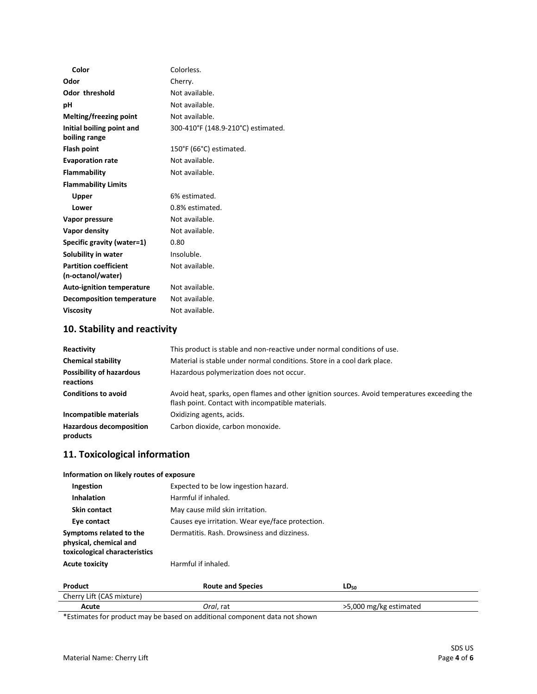| Color                            | Colorless.                         |
|----------------------------------|------------------------------------|
| Odor                             | Cherry.                            |
| <b>Odor threshold</b>            | Not available.                     |
| рH                               | Not available.                     |
| Melting/freezing point           | Not available.                     |
| Initial boiling point and        | 300-410°F (148.9-210°C) estimated. |
| boiling range                    |                                    |
| Flash point                      | 150°F (66°C) estimated.            |
| <b>Evaporation rate</b>          | Not available.                     |
| Flammability                     | Not available.                     |
| <b>Flammability Limits</b>       |                                    |
| Upper                            | 6% estimated.                      |
| Lower                            | 0.8% estimated.                    |
| Vapor pressure                   | Not available.                     |
| Vapor density                    | Not available.                     |
| Specific gravity (water=1)       | 0.80                               |
| Solubility in water              | Insoluble.                         |
| <b>Partition coefficient</b>     | Not available.                     |
| (n-octanol/water)                |                                    |
| <b>Auto-ignition temperature</b> | Not available.                     |
| <b>Decomposition temperature</b> | Not available.                     |
| <b>Viscosity</b>                 | Not available.                     |

# **10. Stability and reactivity**

| Reactivity                                   | This product is stable and non-reactive under normal conditions of use.                                                                           |  |
|----------------------------------------------|---------------------------------------------------------------------------------------------------------------------------------------------------|--|
| <b>Chemical stability</b>                    | Material is stable under normal conditions. Store in a cool dark place.                                                                           |  |
| <b>Possibility of hazardous</b><br>reactions | Hazardous polymerization does not occur.                                                                                                          |  |
| <b>Conditions to avoid</b>                   | Avoid heat, sparks, open flames and other ignition sources. Avoid temperatures exceeding the<br>flash point. Contact with incompatible materials. |  |
| Incompatible materials                       | Oxidizing agents, acids.                                                                                                                          |  |
| <b>Hazardous decomposition</b><br>products   | Carbon dioxide, carbon monoxide.                                                                                                                  |  |

## **11. Toxicological information**

| Information on likely routes of exposure                                           |                                                  |  |
|------------------------------------------------------------------------------------|--------------------------------------------------|--|
| Ingestion                                                                          | Expected to be low ingestion hazard.             |  |
| Inhalation                                                                         | Harmful if inhaled.                              |  |
| <b>Skin contact</b>                                                                | May cause mild skin irritation.                  |  |
| Eye contact                                                                        | Causes eye irritation. Wear eye/face protection. |  |
| Symptoms related to the<br>physical, chemical and<br>toxicological characteristics | Dermatitis, Rash, Drowsiness and dizziness.      |  |
| <b>Acute toxicity</b>                                                              | Harmful if inhaled.                              |  |

| Product                   | <b>Route and Species</b> | $LD_{50}$              |
|---------------------------|--------------------------|------------------------|
| Cherry Lift (CAS mixture) |                          |                        |
| Acute                     | <i>Oral</i> , rat        | >5,000 mg/kg estimated |

\*Estimates for product may be based on additional component data not shown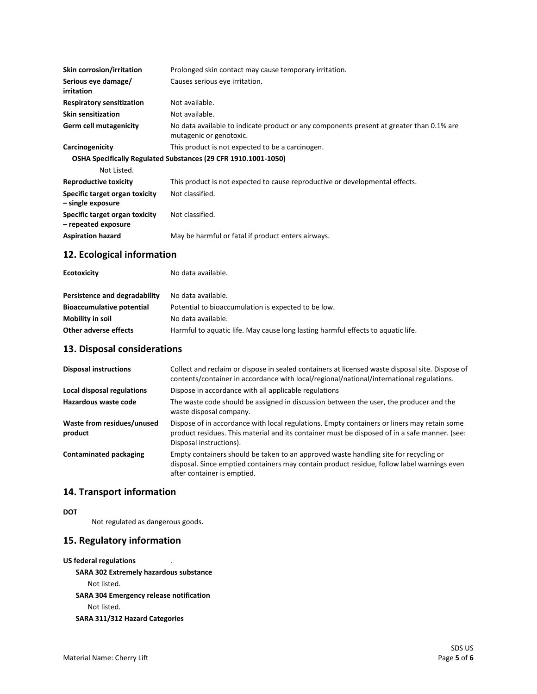| Skin corrosion/irritation                             | Prolonged skin contact may cause temporary irritation.                                                              |
|-------------------------------------------------------|---------------------------------------------------------------------------------------------------------------------|
| Serious eye damage/<br>irritation                     | Causes serious eye irritation.                                                                                      |
| <b>Respiratory sensitization</b>                      | Not available.                                                                                                      |
| <b>Skin sensitization</b>                             | Not available.                                                                                                      |
| Germ cell mutagenicity                                | No data available to indicate product or any components present at greater than 0.1% are<br>mutagenic or genotoxic. |
| Carcinogenicity                                       | This product is not expected to be a carcinogen.                                                                    |
|                                                       | OSHA Specifically Regulated Substances (29 CFR 1910.1001-1050)                                                      |
| Not Listed.                                           |                                                                                                                     |
| <b>Reproductive toxicity</b>                          | This product is not expected to cause reproductive or developmental effects.                                        |
| Specific target organ toxicity<br>- single exposure   | Not classified.                                                                                                     |
| Specific target organ toxicity<br>- repeated exposure | Not classified.                                                                                                     |
| <b>Aspiration hazard</b>                              | May be harmful or fatal if product enters airways.                                                                  |

## **12. Ecological information**

| <b>Ecotoxicity</b>               | No data available.                                                               |
|----------------------------------|----------------------------------------------------------------------------------|
| Persistence and degradability    | No data available.                                                               |
| <b>Bioaccumulative potential</b> | Potential to bioaccumulation is expected to be low.                              |
| Mobility in soil                 | No data available.                                                               |
| Other adverse effects            | Harmful to aquatic life. May cause long lasting harmful effects to aquatic life. |

## **13. Disposal considerations**

| <b>Disposal instructions</b>          | Collect and reclaim or dispose in sealed containers at licensed waste disposal site. Dispose of<br>contents/container in accordance with local/regional/national/international regulations.                             |
|---------------------------------------|-------------------------------------------------------------------------------------------------------------------------------------------------------------------------------------------------------------------------|
| Local disposal regulations            | Dispose in accordance with all applicable regulations                                                                                                                                                                   |
| Hazardous waste code                  | The waste code should be assigned in discussion between the user, the producer and the<br>waste disposal company.                                                                                                       |
| Waste from residues/unused<br>product | Dispose of in accordance with local regulations. Empty containers or liners may retain some<br>product residues. This material and its container must be disposed of in a safe manner. (see:<br>Disposal instructions). |
| <b>Contaminated packaging</b>         | Empty containers should be taken to an approved waste handling site for recycling or<br>disposal. Since emptied containers may contain product residue, follow label warnings even<br>after container is emptied.       |

### **14. Transport information**

**DOT**

Not regulated as dangerous goods.

### **15. Regulatory information**

| US federal regulations<br>٠                    |
|------------------------------------------------|
| <b>SARA 302 Extremely hazardous substance</b>  |
| Not listed.                                    |
| <b>SARA 304 Emergency release notification</b> |
| Not listed.                                    |
| SARA 311/312 Hazard Categories                 |
|                                                |